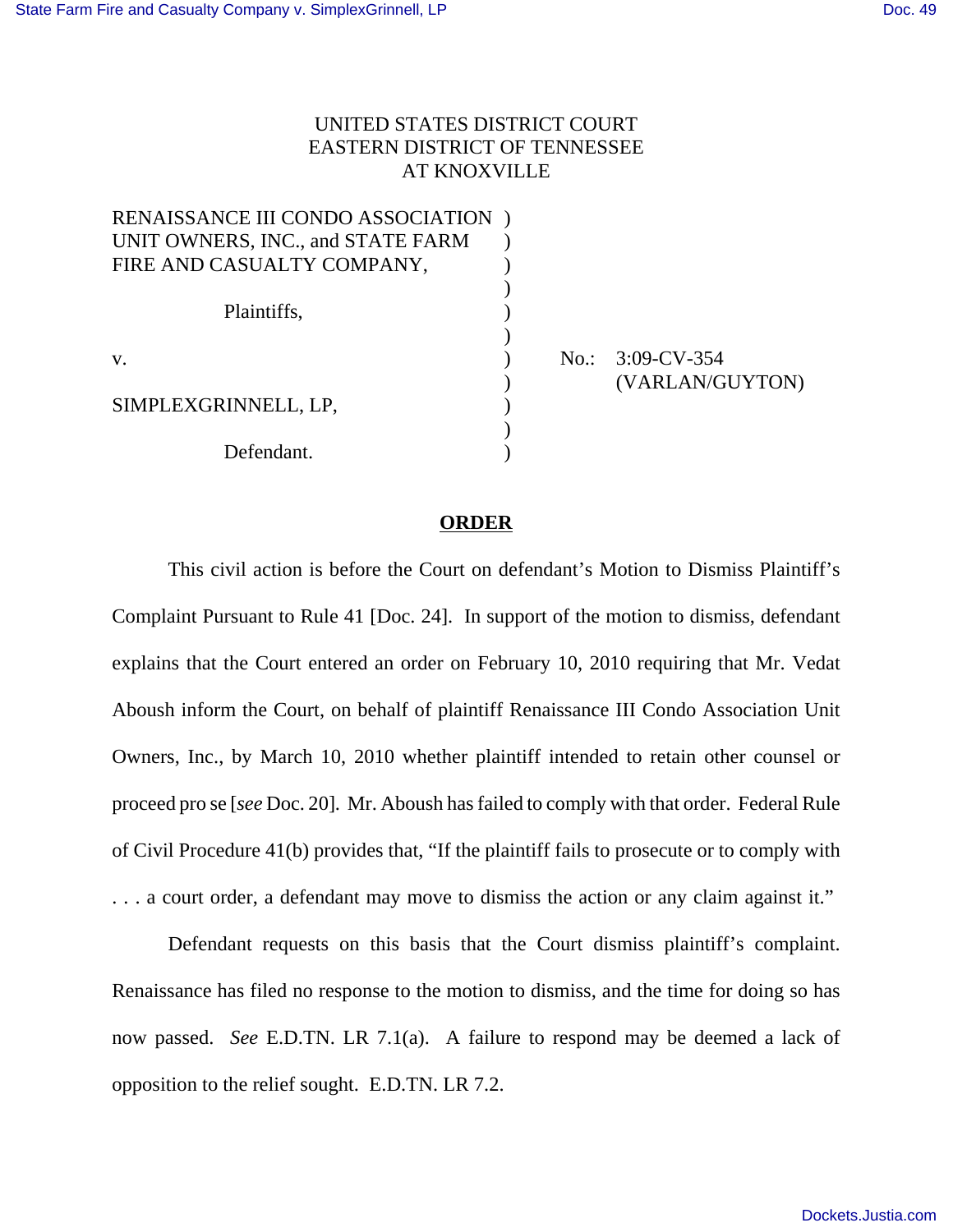## UNITED STATES DISTRICT COURT EASTERN DISTRICT OF TENNESSEE AT KNOXVILLE

| RENAISSANCE III CONDO ASSOCIATION |  |
|-----------------------------------|--|
| UNIT OWNERS, INC., and STATE FARM |  |
| FIRE AND CASUALTY COMPANY,        |  |
|                                   |  |
| Plaintiffs,                       |  |
|                                   |  |
| $V_{\cdot}$                       |  |
|                                   |  |
| SIMPLEXGRINNELL, LP,              |  |
|                                   |  |
| Defendant.                        |  |

No.: 3:09-CV-354 ) (VARLAN/GUYTON)

## **ORDER**

This civil action is before the Court on defendant's Motion to Dismiss Plaintiff's Complaint Pursuant to Rule 41 [Doc. 24]. In support of the motion to dismiss, defendant explains that the Court entered an order on February 10, 2010 requiring that Mr. Vedat Aboush inform the Court, on behalf of plaintiff Renaissance III Condo Association Unit Owners, Inc., by March 10, 2010 whether plaintiff intended to retain other counsel or proceed pro se [*see* Doc. 20]. Mr. Aboush has failed to comply with that order. Federal Rule of Civil Procedure 41(b) provides that, "If the plaintiff fails to prosecute or to comply with . . . a court order, a defendant may move to dismiss the action or any claim against it."

Defendant requests on this basis that the Court dismiss plaintiff's complaint. Renaissance has filed no response to the motion to dismiss, and the time for doing so has now passed. *See* E.D.TN. LR 7.1(a). A failure to respond may be deemed a lack of opposition to the relief sought. E.D.TN. LR 7.2.